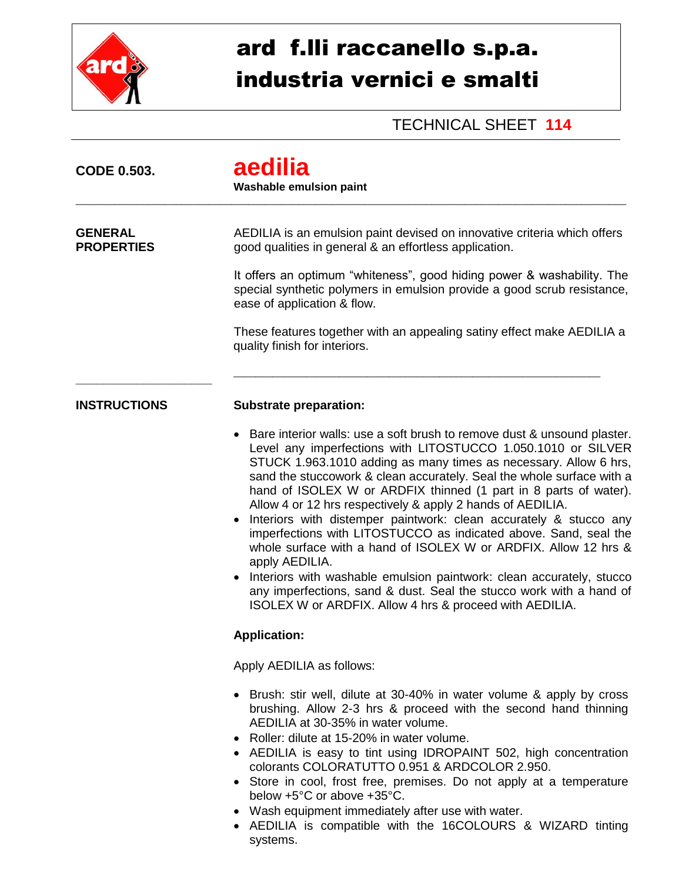

## ard f.lli raccanello s.p.a. industria vernici e smalti

## TECHNICAL SHEET **114**

| <b>CODE 0.503.</b>                  | aedilia<br><b>Washable emulsion paint</b>                                                                                                                                                                                                                                                                                                                                                                                                                                                                                                                                                                                                                                                                                                                                                                                                                        |
|-------------------------------------|------------------------------------------------------------------------------------------------------------------------------------------------------------------------------------------------------------------------------------------------------------------------------------------------------------------------------------------------------------------------------------------------------------------------------------------------------------------------------------------------------------------------------------------------------------------------------------------------------------------------------------------------------------------------------------------------------------------------------------------------------------------------------------------------------------------------------------------------------------------|
| <b>GENERAL</b><br><b>PROPERTIES</b> | AEDILIA is an emulsion paint devised on innovative criteria which offers<br>good qualities in general & an effortless application.                                                                                                                                                                                                                                                                                                                                                                                                                                                                                                                                                                                                                                                                                                                               |
|                                     | It offers an optimum "whiteness", good hiding power & washability. The<br>special synthetic polymers in emulsion provide a good scrub resistance,<br>ease of application & flow.                                                                                                                                                                                                                                                                                                                                                                                                                                                                                                                                                                                                                                                                                 |
|                                     | These features together with an appealing satiny effect make AEDILIA a<br>quality finish for interiors.                                                                                                                                                                                                                                                                                                                                                                                                                                                                                                                                                                                                                                                                                                                                                          |
| <b>INSTRUCTIONS</b>                 | <b>Substrate preparation:</b>                                                                                                                                                                                                                                                                                                                                                                                                                                                                                                                                                                                                                                                                                                                                                                                                                                    |
|                                     | Bare interior walls: use a soft brush to remove dust & unsound plaster.<br>Level any imperfections with LITOSTUCCO 1.050.1010 or SILVER<br>STUCK 1.963.1010 adding as many times as necessary. Allow 6 hrs,<br>sand the stuccowork & clean accurately. Seal the whole surface with a<br>hand of ISOLEX W or ARDFIX thinned (1 part in 8 parts of water).<br>Allow 4 or 12 hrs respectively & apply 2 hands of AEDILIA.<br>Interiors with distemper paintwork: clean accurately & stucco any<br>imperfections with LITOSTUCCO as indicated above. Sand, seal the<br>whole surface with a hand of ISOLEX W or ARDFIX. Allow 12 hrs &<br>apply AEDILIA.<br>• Interiors with washable emulsion paintwork: clean accurately, stucco<br>any imperfections, sand & dust. Seal the stucco work with a hand of<br>ISOLEX W or ARDFIX. Allow 4 hrs & proceed with AEDILIA. |
| <b>Application:</b>                 |                                                                                                                                                                                                                                                                                                                                                                                                                                                                                                                                                                                                                                                                                                                                                                                                                                                                  |
|                                     | Apply AEDILIA as follows:                                                                                                                                                                                                                                                                                                                                                                                                                                                                                                                                                                                                                                                                                                                                                                                                                                        |
|                                     | • Brush: stir well, dilute at 30-40% in water volume & apply by cross<br>brushing. Allow 2-3 hrs & proceed with the second hand thinning<br>AEDILIA at 30-35% in water volume.<br>• Roller: dilute at 15-20% in water volume.<br>• AEDILIA is easy to tint using IDROPAINT 502, high concentration<br>colorants COLORATUTTO 0.951 & ARDCOLOR 2.950.<br>• Store in cool, frost free, premises. Do not apply at a temperature<br>below +5°C or above +35°C.<br>• Wash equipment immediately after use with water.<br>• AEDILIA is compatible with the 16COLOURS & WIZARD tinting<br>systems.                                                                                                                                                                                                                                                                       |